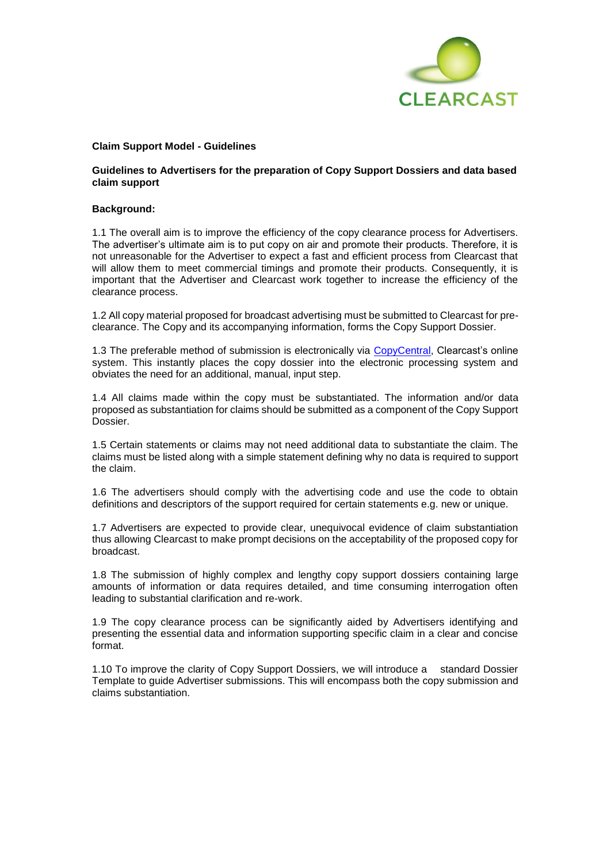

#### **Claim Support Model - Guidelines**

### **Guidelines to Advertisers for the preparation of Copy Support Dossiers and data based claim support**

#### **Background:**

1.1 The overall aim is to improve the efficiency of the copy clearance process for Advertisers. The advertiser's ultimate aim is to put copy on air and promote their products. Therefore, it is not unreasonable for the Advertiser to expect a fast and efficient process from Clearcast that will allow them to meet commercial timings and promote their products. Consequently, it is important that the Advertiser and Clearcast work together to increase the efficiency of the clearance process.

1.2 All copy material proposed for broadcast advertising must be submitted to Clearcast for preclearance. The Copy and its accompanying information, forms the Copy Support Dossier.

1.3 The preferable method of submission is electronically via [CopyCentral,](https://copycentral.co.uk/) Clearcast's online system. This instantly places the copy dossier into the electronic processing system and obviates the need for an additional, manual, input step.

1.4 All claims made within the copy must be substantiated. The information and/or data proposed as substantiation for claims should be submitted as a component of the Copy Support Dossier.

1.5 Certain statements or claims may not need additional data to substantiate the claim. The claims must be listed along with a simple statement defining why no data is required to support the claim.

1.6 The advertisers should comply with the advertising code and use the code to obtain definitions and descriptors of the support required for certain statements e.g. new or unique.

1.7 Advertisers are expected to provide clear, unequivocal evidence of claim substantiation thus allowing Clearcast to make prompt decisions on the acceptability of the proposed copy for broadcast.

1.8 The submission of highly complex and lengthy copy support dossiers containing large amounts of information or data requires detailed, and time consuming interrogation often leading to substantial clarification and re-work.

1.9 The copy clearance process can be significantly aided by Advertisers identifying and presenting the essential data and information supporting specific claim in a clear and concise format.

1.10 To improve the clarity of Copy Support Dossiers, we will introduce a standard Dossier Template to guide Advertiser submissions. This will encompass both the copy submission and claims substantiation.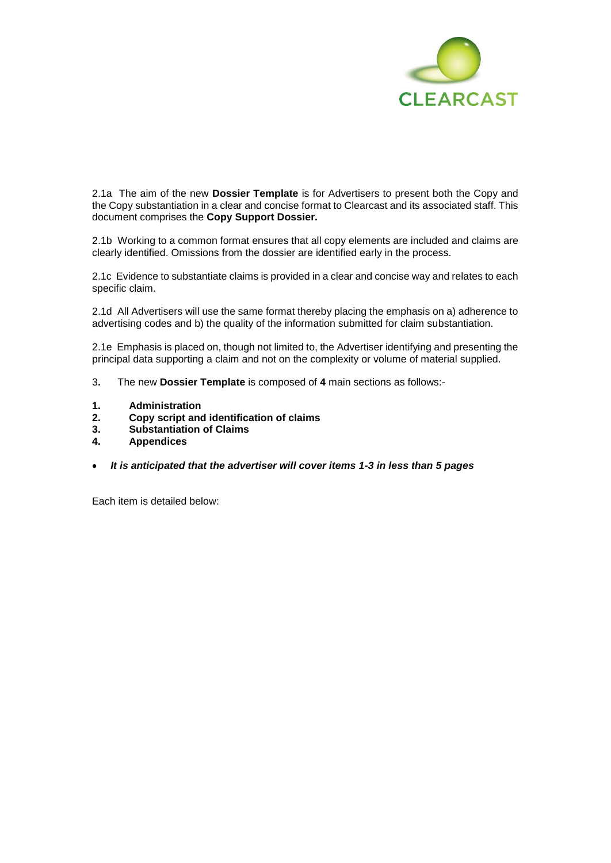

2.1a The aim of the new **Dossier Template** is for Advertisers to present both the Copy and the Copy substantiation in a clear and concise format to Clearcast and its associated staff. This document comprises the **Copy Support Dossier.**

2.1b Working to a common format ensures that all copy elements are included and claims are clearly identified. Omissions from the dossier are identified early in the process.

2.1c Evidence to substantiate claims is provided in a clear and concise way and relates to each specific claim.

2.1d All Advertisers will use the same format thereby placing the emphasis on a) adherence to advertising codes and b) the quality of the information submitted for claim substantiation.

2.1e Emphasis is placed on, though not limited to, the Advertiser identifying and presenting the principal data supporting a claim and not on the complexity or volume of material supplied.

- 3**.** The new **Dossier Template** is composed of **4** main sections as follows:-
- **1. Administration**
- **2. Copy script and identification of claims**
- **3. Substantiation of Claims**
- **4. Appendices**
- *It is anticipated that the advertiser will cover items 1-3 in less than 5 pages*

Each item is detailed below: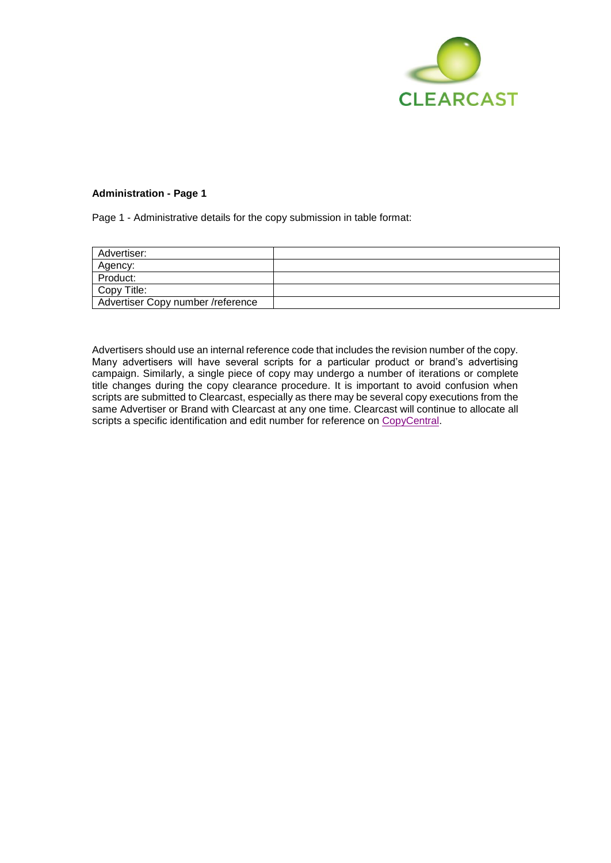

# **Administration - Page 1**

Page 1 - Administrative details for the copy submission in table format:

| Advertiser:                       |  |
|-----------------------------------|--|
| Agency:                           |  |
| Product:                          |  |
| Copy Title:                       |  |
| Advertiser Copy number /reference |  |

Advertisers should use an internal reference code that includes the revision number of the copy. Many advertisers will have several scripts for a particular product or brand's advertising campaign. Similarly, a single piece of copy may undergo a number of iterations or complete title changes during the copy clearance procedure. It is important to avoid confusion when scripts are submitted to Clearcast, especially as there may be several copy executions from the same Advertiser or Brand with Clearcast at any one time. Clearcast will continue to allocate all scripts a specific identification and edit number for reference on [CopyCentral.](https://copycentral.co.uk/)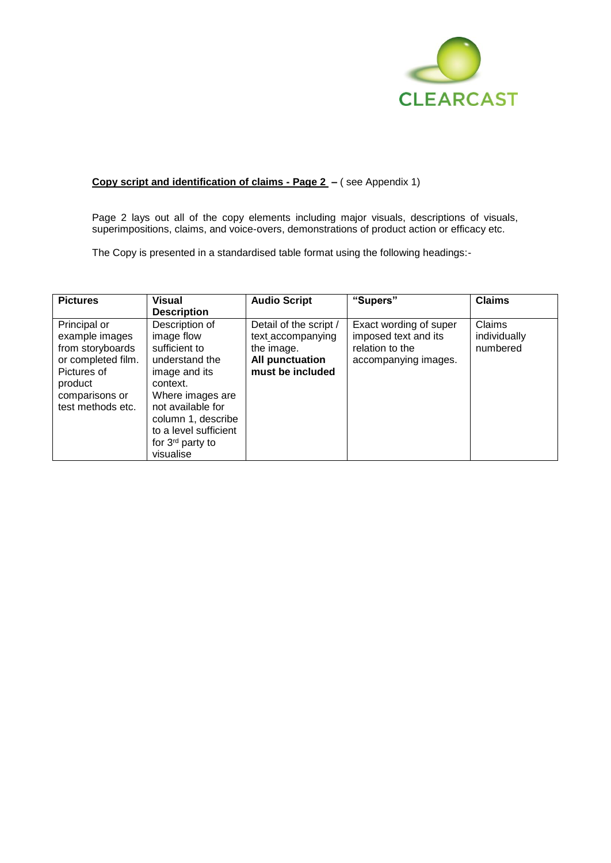

# **Copy script and identification of claims - Page 2 –** ( see Appendix 1)

Page 2 lays out all of the copy elements including major visuals, descriptions of visuals, superimpositions, claims, and voice-overs, demonstrations of product action or efficacy etc.

The Copy is presented in a standardised table format using the following headings:-

| <b>Pictures</b>                                                                                                                           | <b>Visual</b><br><b>Description</b>                                                                                                                                                                                               | <b>Audio Script</b>                                                                                     | "Supers"                                                                                  | <b>Claims</b>                      |
|-------------------------------------------------------------------------------------------------------------------------------------------|-----------------------------------------------------------------------------------------------------------------------------------------------------------------------------------------------------------------------------------|---------------------------------------------------------------------------------------------------------|-------------------------------------------------------------------------------------------|------------------------------------|
| Principal or<br>example images<br>from storyboards<br>or completed film.<br>Pictures of<br>product<br>comparisons or<br>test methods etc. | Description of<br>image flow<br>sufficient to<br>understand the<br>image and its<br>context.<br>Where images are<br>not available for<br>column 1, describe<br>to a level sufficient<br>for 3 <sup>rd</sup> party to<br>visualise | Detail of the script /<br>text accompanying<br>the image.<br><b>All punctuation</b><br>must be included | Exact wording of super<br>imposed text and its<br>relation to the<br>accompanying images. | Claims<br>individually<br>numbered |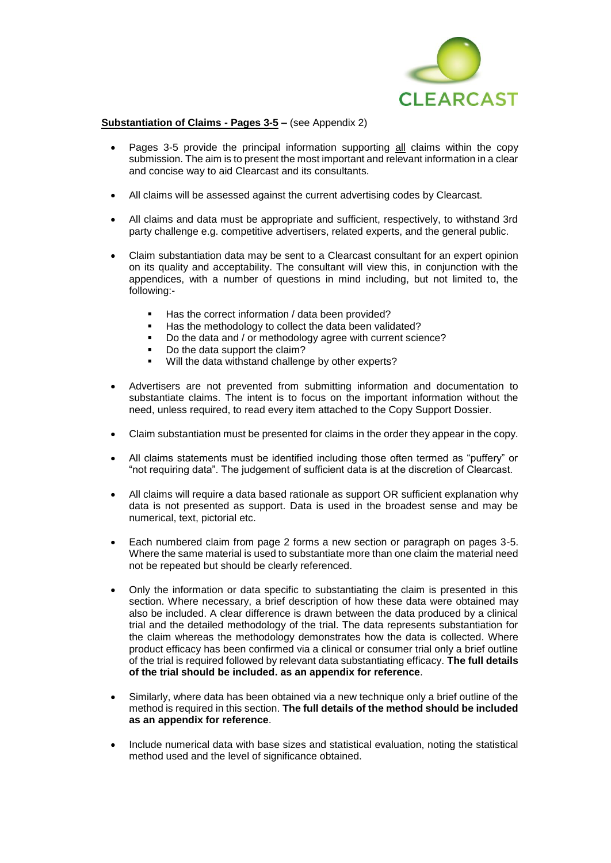

# **Substantiation of Claims - Pages 3-5 –** (see Appendix 2)

- Pages 3-5 provide the principal information supporting all claims within the copy submission. The aim is to present the most important and relevant information in a clear and concise way to aid Clearcast and its consultants.
- All claims will be assessed against the current advertising codes by Clearcast.
- All claims and data must be appropriate and sufficient, respectively, to withstand 3rd party challenge e.g. competitive advertisers, related experts, and the general public.
- Claim substantiation data may be sent to a Clearcast consultant for an expert opinion on its quality and acceptability. The consultant will view this, in conjunction with the appendices, with a number of questions in mind including, but not limited to, the following:-
	- Has the correct information / data been provided?
	- Has the methodology to collect the data been validated?
	- Do the data and / or methodology agree with current science?
	- Do the data support the claim?
	- Will the data withstand challenge by other experts?
- Advertisers are not prevented from submitting information and documentation to substantiate claims. The intent is to focus on the important information without the need, unless required, to read every item attached to the Copy Support Dossier.
- Claim substantiation must be presented for claims in the order they appear in the copy.
- All claims statements must be identified including those often termed as "puffery" or "not requiring data". The judgement of sufficient data is at the discretion of Clearcast.
- All claims will require a data based rationale as support OR sufficient explanation why data is not presented as support. Data is used in the broadest sense and may be numerical, text, pictorial etc.
- Each numbered claim from page 2 forms a new section or paragraph on pages 3-5. Where the same material is used to substantiate more than one claim the material need not be repeated but should be clearly referenced.
- Only the information or data specific to substantiating the claim is presented in this section. Where necessary, a brief description of how these data were obtained may also be included. A clear difference is drawn between the data produced by a clinical trial and the detailed methodology of the trial. The data represents substantiation for the claim whereas the methodology demonstrates how the data is collected. Where product efficacy has been confirmed via a clinical or consumer trial only a brief outline of the trial is required followed by relevant data substantiating efficacy. **The full details of the trial should be included. as an appendix for reference**.
- Similarly, where data has been obtained via a new technique only a brief outline of the method is required in this section. **The full details of the method should be included as an appendix for reference**.
- Include numerical data with base sizes and statistical evaluation, noting the statistical method used and the level of significance obtained.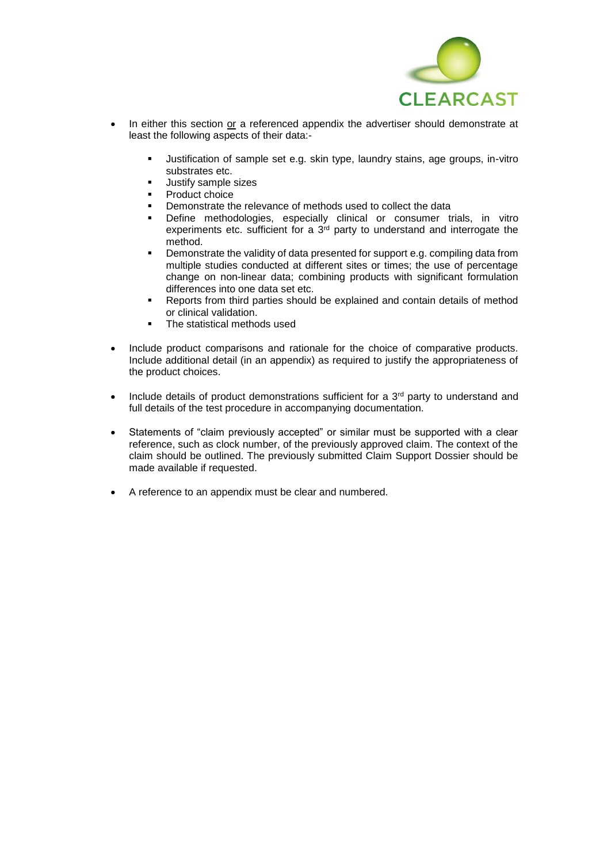

- In either this section or a referenced appendix the advertiser should demonstrate at least the following aspects of their data:-
	- Justification of sample set e.g. skin type, laundry stains, age groups, in-vitro substrates etc.
	- **■** Justify sample sizes
	- Product choice
	- Demonstrate the relevance of methods used to collect the data
	- Define methodologies, especially clinical or consumer trials, in vitro experiments etc. sufficient for a 3rd party to understand and interrogate the method.
	- Demonstrate the validity of data presented for support e.g. compiling data from multiple studies conducted at different sites or times; the use of percentage change on non-linear data; combining products with significant formulation differences into one data set etc.
	- Reports from third parties should be explained and contain details of method or clinical validation.
	- The statistical methods used
- Include product comparisons and rationale for the choice of comparative products. Include additional detail (in an appendix) as required to justify the appropriateness of the product choices.
- Include details of product demonstrations sufficient for a  $3<sup>rd</sup>$  party to understand and full details of the test procedure in accompanying documentation.
- Statements of "claim previously accepted" or similar must be supported with a clear reference, such as clock number, of the previously approved claim. The context of the claim should be outlined. The previously submitted Claim Support Dossier should be made available if requested.
- A reference to an appendix must be clear and numbered.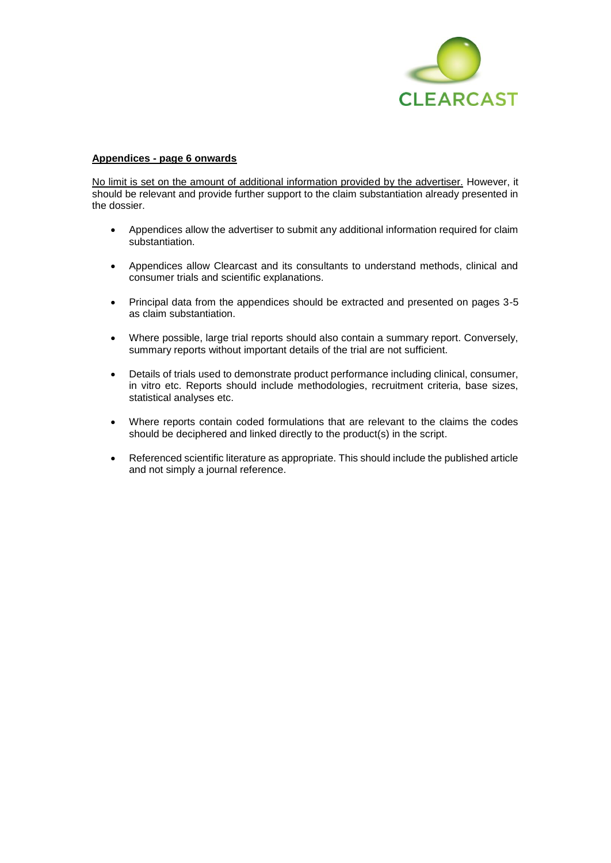

#### **Appendices - page 6 onwards**

No limit is set on the amount of additional information provided by the advertiser. However, it should be relevant and provide further support to the claim substantiation already presented in the dossier.

- Appendices allow the advertiser to submit any additional information required for claim substantiation.
- Appendices allow Clearcast and its consultants to understand methods, clinical and consumer trials and scientific explanations.
- Principal data from the appendices should be extracted and presented on pages 3-5 as claim substantiation.
- Where possible, large trial reports should also contain a summary report. Conversely, summary reports without important details of the trial are not sufficient.
- Details of trials used to demonstrate product performance including clinical, consumer, in vitro etc. Reports should include methodologies, recruitment criteria, base sizes, statistical analyses etc.
- Where reports contain coded formulations that are relevant to the claims the codes should be deciphered and linked directly to the product(s) in the script.
- Referenced scientific literature as appropriate. This should include the published article and not simply a journal reference.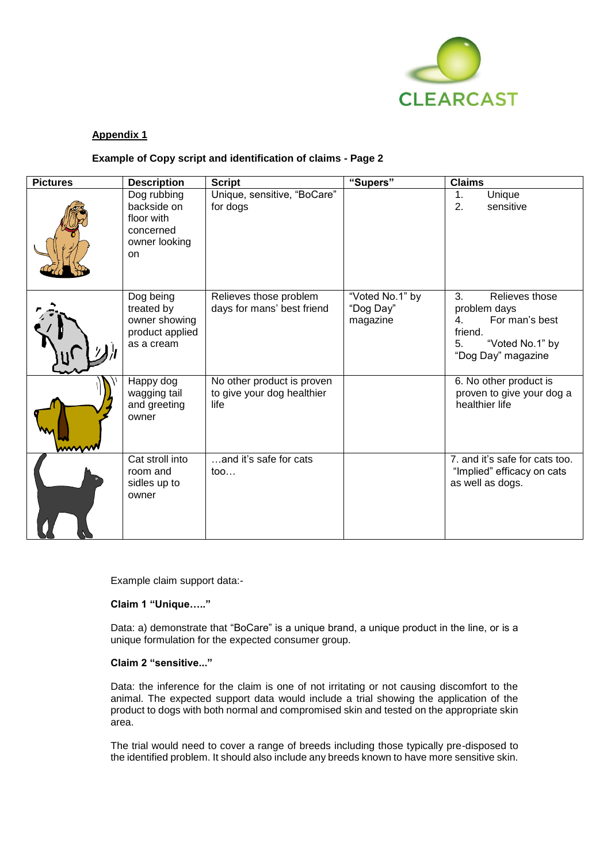

# **Appendix 1**

## **Example of Copy script and identification of claims - Page 2**

| <b>Pictures</b> | <b>Description</b>                                                                  | <b>Script</b>                                                    | "Supers"                                 | <b>Claims</b>                                                                                                          |
|-----------------|-------------------------------------------------------------------------------------|------------------------------------------------------------------|------------------------------------------|------------------------------------------------------------------------------------------------------------------------|
|                 | Dog rubbing<br>backside on<br>floor with<br>concerned<br>owner looking<br><b>on</b> | Unique, sensitive, "BoCare"<br>for dogs                          |                                          | Unique<br>1.<br>2.<br>sensitive                                                                                        |
|                 | Dog being<br>treated by<br>owner showing<br>product applied<br>as a cream           | Relieves those problem<br>days for mans' best friend             | "Voted No.1" by<br>"Dog Day"<br>magazine | 3.<br>Relieves those<br>problem days<br>For man's best<br>4.<br>friend.<br>"Voted No.1" by<br>5.<br>"Dog Day" magazine |
| wwww            | Happy dog<br>wagging tail<br>and greeting<br>owner                                  | No other product is proven<br>to give your dog healthier<br>life |                                          | 6. No other product is<br>proven to give your dog a<br>healthier life                                                  |
|                 | Cat stroll into<br>room and<br>sidles up to<br>owner                                | and it's safe for cats<br>$\mathsf{too} \dots$                   |                                          | 7. and it's safe for cats too.<br>"Implied" efficacy on cats<br>as well as dogs.                                       |

Example claim support data:-

# **Claim 1 "Unique….."**

Data: a) demonstrate that "BoCare" is a unique brand, a unique product in the line, or is a unique formulation for the expected consumer group.

#### **Claim 2 "sensitive..."**

Data: the inference for the claim is one of not irritating or not causing discomfort to the animal. The expected support data would include a trial showing the application of the product to dogs with both normal and compromised skin and tested on the appropriate skin area.

The trial would need to cover a range of breeds including those typically pre-disposed to the identified problem. It should also include any breeds known to have more sensitive skin.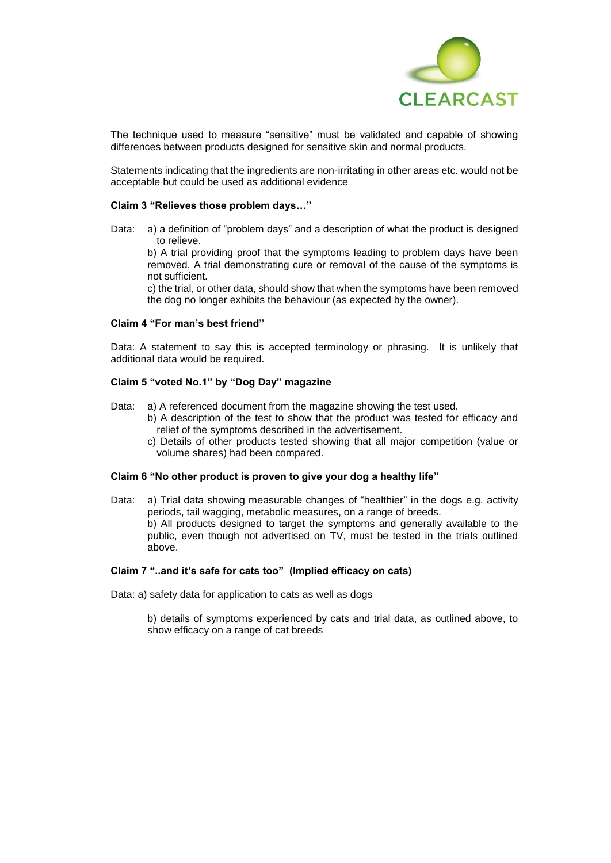

The technique used to measure "sensitive" must be validated and capable of showing differences between products designed for sensitive skin and normal products.

Statements indicating that the ingredients are non-irritating in other areas etc. would not be acceptable but could be used as additional evidence

#### **Claim 3 "Relieves those problem days…"**

Data: a) a definition of "problem days" and a description of what the product is designed to relieve.

b) A trial providing proof that the symptoms leading to problem days have been removed. A trial demonstrating cure or removal of the cause of the symptoms is not sufficient.

c) the trial, or other data, should show that when the symptoms have been removed the dog no longer exhibits the behaviour (as expected by the owner).

#### **Claim 4 "For man's best friend"**

Data: A statement to say this is accepted terminology or phrasing. It is unlikely that additional data would be required.

#### **Claim 5 "voted No.1" by "Dog Day" magazine**

- Data: a) A referenced document from the magazine showing the test used.
	- b) A description of the test to show that the product was tested for efficacy and relief of the symptoms described in the advertisement.
	- c) Details of other products tested showing that all major competition (value or volume shares) had been compared.

#### **Claim 6 "No other product is proven to give your dog a healthy life"**

Data: a) Trial data showing measurable changes of "healthier" in the dogs e.g. activity periods, tail wagging, metabolic measures, on a range of breeds. b) All products designed to target the symptoms and generally available to the public, even though not advertised on TV, must be tested in the trials outlined above.

### **Claim 7 "..and it's safe for cats too" (Implied efficacy on cats)**

Data: a) safety data for application to cats as well as dogs

b) details of symptoms experienced by cats and trial data, as outlined above, to show efficacy on a range of cat breeds